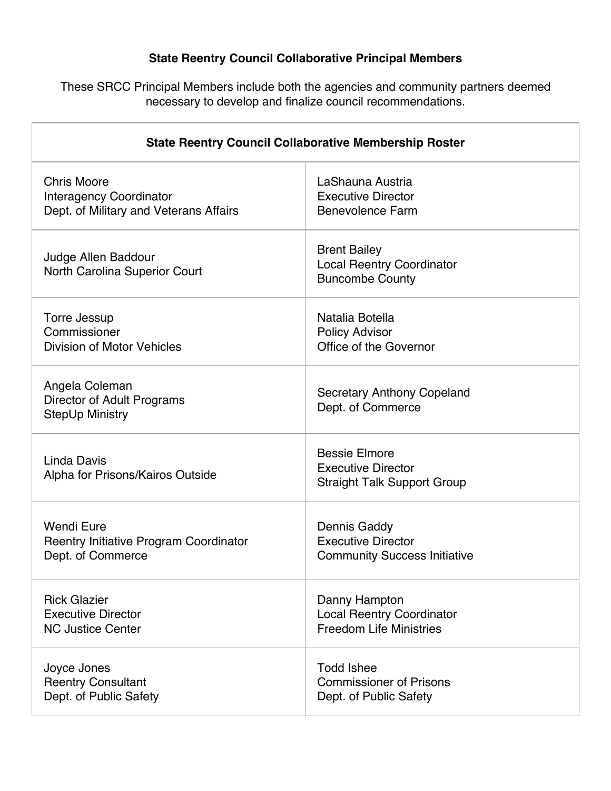## **State Reentry Council Collaborative Principal Members**

These SRCC Principal Members include both the agencies and community partners deemed necessary to develop and finalize council recommendations.

| <b>State Reentry Council Collaborative Membership Roster</b>    |                                                                                         |
|-----------------------------------------------------------------|-----------------------------------------------------------------------------------------|
| <b>Chris Moore</b>                                              | LaShauna Austria                                                                        |
| <b>Interagency Coordinator</b>                                  | <b>Executive Director</b>                                                               |
| Dept. of Military and Veterans Affairs                          | <b>Benevolence Farm</b>                                                                 |
| Judge Allen Baddour<br>North Carolina Superior Court            | <b>Brent Bailey</b><br><b>Local Reentry Coordinator</b><br><b>Buncombe County</b>       |
| Torre Jessup                                                    | Natalia Botella                                                                         |
| Commissioner                                                    | <b>Policy Advisor</b>                                                                   |
| <b>Division of Motor Vehicles</b>                               | Office of the Governor                                                                  |
| Angela Coleman<br>Director of Adult Programs<br>StepUp Ministry | <b>Secretary Anthony Copeland</b><br>Dept. of Commerce                                  |
| Linda Davis<br>Alpha for Prisons/Kairos Outside                 | <b>Bessie Elmore</b><br><b>Executive Director</b><br><b>Straight Talk Support Group</b> |
| Wendi Eure                                                      | Dennis Gaddy                                                                            |
| <b>Reentry Initiative Program Coordinator</b>                   | <b>Executive Director</b>                                                               |
| Dept. of Commerce                                               | <b>Community Success Initiative</b>                                                     |
| <b>Rick Glazier</b>                                             | Danny Hampton                                                                           |
| <b>Executive Director</b>                                       | <b>Local Reentry Coordinator</b>                                                        |
| <b>NC Justice Center</b>                                        | <b>Freedom Life Ministries</b>                                                          |
| Joyce Jones                                                     | <b>Todd Ishee</b>                                                                       |
| <b>Reentry Consultant</b>                                       | <b>Commissioner of Prisons</b>                                                          |
| Dept. of Public Safety                                          | Dept. of Public Safety                                                                  |